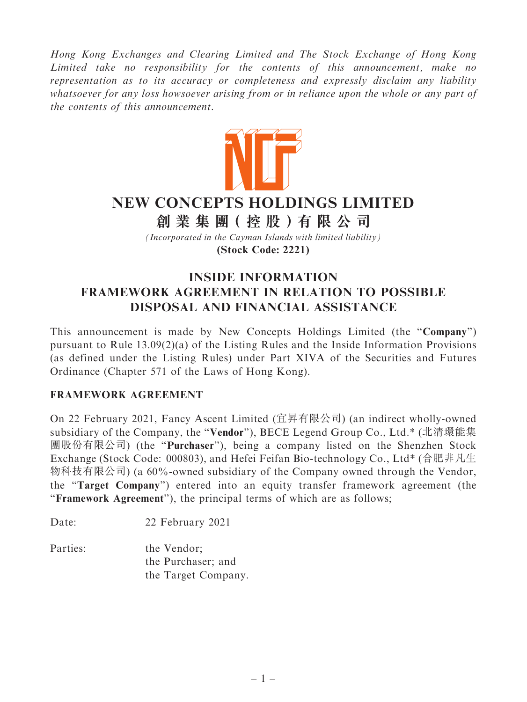Hong Kong Exchanges and Clearing Limited and The Stock Exchange of Hong Kong Limited take no responsibility for the contents of this announcement, make no representation as to its accuracy or completeness and expressly disclaim any liability whatsoever for any loss howsoever arising from or in reliance upon the whole or any part of the contents of this announcement.



# **NEW CONCEPTS HOLDINGS LIMITED**

**創 業 集 團( 控 股 )有 限 公 司**

*(Incorporated in the Cayman Islands with limited liability)* **(Stock Code: 2221)**

# INSIDE INFORMATION FRAMEWORK AGREEMENT IN RELATION TO POSSIBLE DISPOSAL AND FINANCIAL ASSISTANCE

This announcement is made by New Concepts Holdings Limited (the ''Company'') pursuant to Rule 13.09(2)(a) of the Listing Rules and the Inside Information Provisions (as defined under the Listing Rules) under Part XIVA of the Securities and Futures Ordinance (Chapter 571 of the Laws of Hong Kong).

# FRAMEWORK AGREEMENT

On 22 February 2021, Fancy Ascent Limited (宜昇有限公司) (an indirect wholly-owned subsidiary of the Company, the ''Vendor''), BECE Legend Group Co., Ltd.\* (北清環能集 團股份有限公司) (the ''Purchaser''), being a company listed on the Shenzhen Stock Exchange (Stock Code: 000803), and Hefei Feifan Bio-technology Co., Ltd\* (合肥非凡生 物科技有限公司) (a 60%-owned subsidiary of the Company owned through the Vendor, the ''Target Company'') entered into an equity transfer framework agreement (the "Framework Agreement"), the principal terms of which are as follows;

Date: 22 February 2021

Parties: the Vendor: the Purchaser; and the Target Company.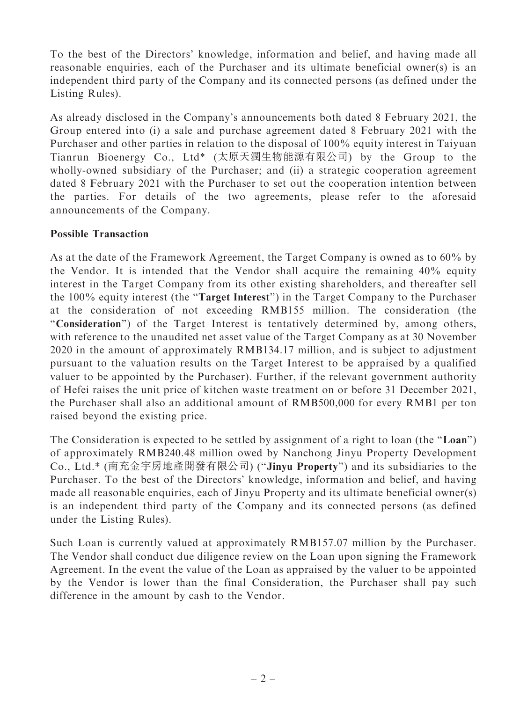To the best of the Directors' knowledge, information and belief, and having made all reasonable enquiries, each of the Purchaser and its ultimate beneficial owner(s) is an independent third party of the Company and its connected persons (as defined under the Listing Rules).

As already disclosed in the Company's announcements both dated 8 February 2021, the Group entered into (i) a sale and purchase agreement dated 8 February 2021 with the Purchaser and other parties in relation to the disposal of 100% equity interest in Taiyuan Tianrun Bioenergy Co., Ltd\* (太原天潤生物能源有限公司) by the Group to the wholly-owned subsidiary of the Purchaser; and (ii) a strategic cooperation agreement dated 8 February 2021 with the Purchaser to set out the cooperation intention between the parties. For details of the two agreements, please refer to the aforesaid announcements of the Company.

# Possible Transaction

As at the date of the Framework Agreement, the Target Company is owned as to 60% by the Vendor. It is intended that the Vendor shall acquire the remaining 40% equity interest in the Target Company from its other existing shareholders, and thereafter sell the 100% equity interest (the ''Target Interest'') in the Target Company to the Purchaser at the consideration of not exceeding RMB155 million. The consideration (the "Consideration") of the Target Interest is tentatively determined by, among others, with reference to the unaudited net asset value of the Target Company as at 30 November 2020 in the amount of approximately RMB134.17 million, and is subject to adjustment pursuant to the valuation results on the Target Interest to be appraised by a qualified valuer to be appointed by the Purchaser). Further, if the relevant government authority of Hefei raises the unit price of kitchen waste treatment on or before 31 December 2021, the Purchaser shall also an additional amount of RMB500,000 for every RMB1 per ton raised beyond the existing price.

The Consideration is expected to be settled by assignment of a right to loan (the "Loan") of approximately RMB240.48 million owed by Nanchong Jinyu Property Development Co., Ltd.\* (南充金宇房地產開發有限公司) (''Jinyu Property'') and its subsidiaries to the Purchaser. To the best of the Directors' knowledge, information and belief, and having made all reasonable enquiries, each of Jinyu Property and its ultimate beneficial owner(s) is an independent third party of the Company and its connected persons (as defined under the Listing Rules).

Such Loan is currently valued at approximately RMB157.07 million by the Purchaser. The Vendor shall conduct due diligence review on the Loan upon signing the Framework Agreement. In the event the value of the Loan as appraised by the valuer to be appointed by the Vendor is lower than the final Consideration, the Purchaser shall pay such difference in the amount by cash to the Vendor.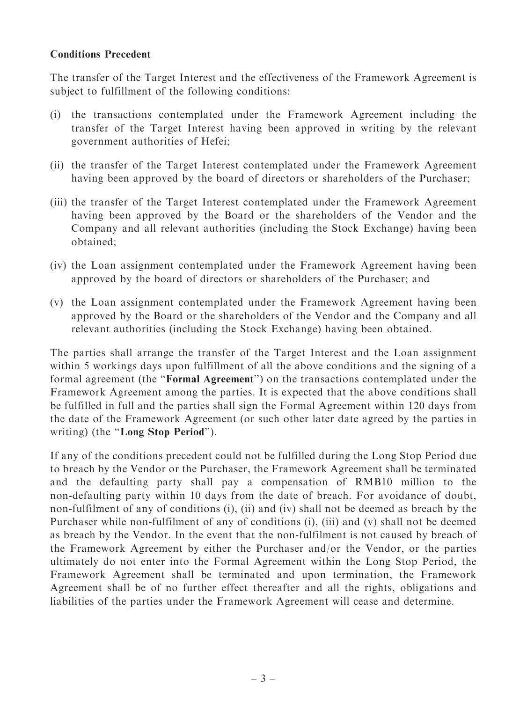#### Conditions Precedent

The transfer of the Target Interest and the effectiveness of the Framework Agreement is subject to fulfillment of the following conditions:

- (i) the transactions contemplated under the Framework Agreement including the transfer of the Target Interest having been approved in writing by the relevant government authorities of Hefei;
- (ii) the transfer of the Target Interest contemplated under the Framework Agreement having been approved by the board of directors or shareholders of the Purchaser;
- (iii) the transfer of the Target Interest contemplated under the Framework Agreement having been approved by the Board or the shareholders of the Vendor and the Company and all relevant authorities (including the Stock Exchange) having been obtained;
- (iv) the Loan assignment contemplated under the Framework Agreement having been approved by the board of directors or shareholders of the Purchaser; and
- (v) the Loan assignment contemplated under the Framework Agreement having been approved by the Board or the shareholders of the Vendor and the Company and all relevant authorities (including the Stock Exchange) having been obtained.

The parties shall arrange the transfer of the Target Interest and the Loan assignment within 5 workings days upon fulfillment of all the above conditions and the signing of a formal agreement (the ''Formal Agreement'') on the transactions contemplated under the Framework Agreement among the parties. It is expected that the above conditions shall be fulfilled in full and the parties shall sign the Formal Agreement within 120 days from the date of the Framework Agreement (or such other later date agreed by the parties in writing) (the "Long Stop Period").

If any of the conditions precedent could not be fulfilled during the Long Stop Period due to breach by the Vendor or the Purchaser, the Framework Agreement shall be terminated and the defaulting party shall pay a compensation of RMB10 million to the non-defaulting party within 10 days from the date of breach. For avoidance of doubt, non-fulfilment of any of conditions (i), (ii) and (iv) shall not be deemed as breach by the Purchaser while non-fulfilment of any of conditions (i), (iii) and (v) shall not be deemed as breach by the Vendor. In the event that the non-fulfilment is not caused by breach of the Framework Agreement by either the Purchaser and/or the Vendor, or the parties ultimately do not enter into the Formal Agreement within the Long Stop Period, the Framework Agreement shall be terminated and upon termination, the Framework Agreement shall be of no further effect thereafter and all the rights, obligations and liabilities of the parties under the Framework Agreement will cease and determine.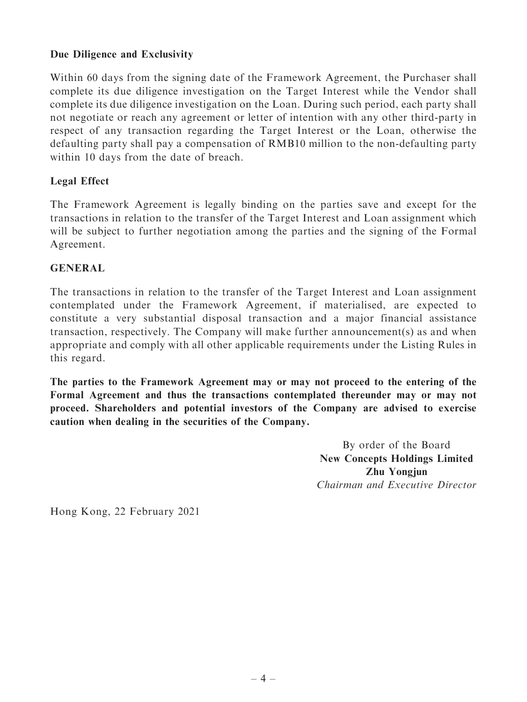# Due Diligence and Exclusivity

Within 60 days from the signing date of the Framework Agreement, the Purchaser shall complete its due diligence investigation on the Target Interest while the Vendor shall complete its due diligence investigation on the Loan. During such period, each party shall not negotiate or reach any agreement or letter of intention with any other third-party in respect of any transaction regarding the Target Interest or the Loan, otherwise the defaulting party shall pay a compensation of RMB10 million to the non-defaulting party within 10 days from the date of breach.

# Legal Effect

The Framework Agreement is legally binding on the parties save and except for the transactions in relation to the transfer of the Target Interest and Loan assignment which will be subject to further negotiation among the parties and the signing of the Formal Agreement.

#### GENERAL

The transactions in relation to the transfer of the Target Interest and Loan assignment contemplated under the Framework Agreement, if materialised, are expected to constitute a very substantial disposal transaction and a major financial assistance transaction, respectively. The Company will make further announcement(s) as and when appropriate and comply with all other applicable requirements under the Listing Rules in this regard.

The parties to the Framework Agreement may or may not proceed to the entering of the Formal Agreement and thus the transactions contemplated thereunder may or may not proceed. Shareholders and potential investors of the Company are advised to exercise caution when dealing in the securities of the Company.

> By order of the Board New Concepts Holdings Limited Zhu Yongjun Chairman and Executive Director

Hong Kong, 22 February 2021